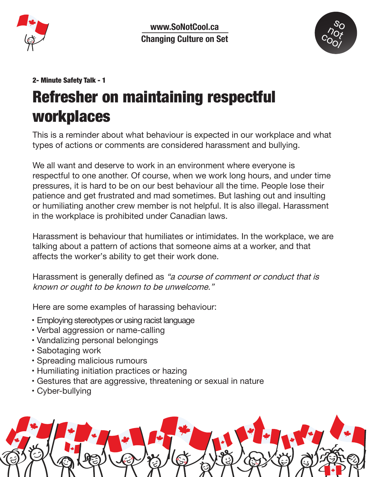

www.SoNotCool.ca **Changing Culture on Set**



## 2- Minute Safety Talk - 1 Refresher on maintaining respectful workplaces

This is a reminder about what behaviour is expected in our workplace and what types of actions or comments are considered harassment and bullying.

We all want and deserve to work in an environment where everyone is respectful to one another. Of course, when we work long hours, and under time pressures, it is hard to be on our best behaviour all the time. People lose their patience and get frustrated and mad sometimes. But lashing out and insulting or humiliating another crew member is not helpful. It is also illegal. Harassment in the workplace is prohibited under Canadian laws.

Harassment is behaviour that humiliates or intimidates. In the workplace, we are talking about a pattern of actions that someone aims at a worker, and that affects the worker's ability to get their work done.

Harassment is generally defined as "a course of comment or conduct that is known or ought to be known to be unwelcome."

Here are some examples of harassing behaviour:

- Employing stereotypes or using racist language
- Verbal aggression or name-calling
- Vandalizing personal belongings
- Sabotaging work
- Spreading malicious rumours
- Humiliating initiation practices or hazing
- Gestures that are aggressive, threatening or sexual in nature
- Cyber-bullying